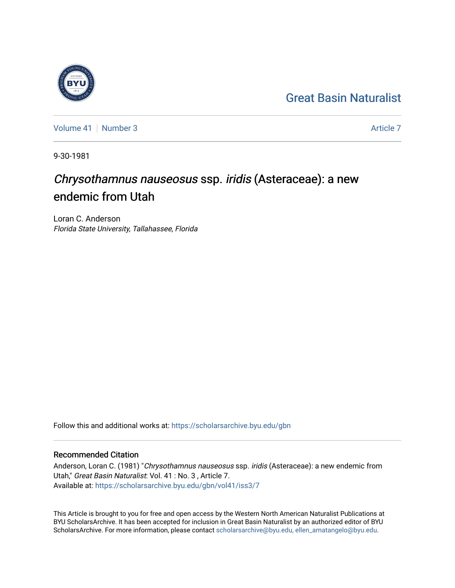## [Great Basin Naturalist](https://scholarsarchive.byu.edu/gbn)

[Volume 41](https://scholarsarchive.byu.edu/gbn/vol41) | [Number 3](https://scholarsarchive.byu.edu/gbn/vol41/iss3) [Article 7](https://scholarsarchive.byu.edu/gbn/vol41/iss3/7) Article 7 Article 7 Article 7 Article 7 Article 7 Article 7 Article 7

9-30-1981

# Chrysothamnus nauseosus ssp. iridis (Asteraceae): a new endemic from Utah

Loran C. Anderson Florida State University, Tallahassee, Florida

Follow this and additional works at: [https://scholarsarchive.byu.edu/gbn](https://scholarsarchive.byu.edu/gbn?utm_source=scholarsarchive.byu.edu%2Fgbn%2Fvol41%2Fiss3%2F7&utm_medium=PDF&utm_campaign=PDFCoverPages) 

### Recommended Citation

Anderson, Loran C. (1981) "Chrysothamnus nauseosus ssp. iridis (Asteraceae): a new endemic from Utah," Great Basin Naturalist: Vol. 41 : No. 3 , Article 7. Available at: [https://scholarsarchive.byu.edu/gbn/vol41/iss3/7](https://scholarsarchive.byu.edu/gbn/vol41/iss3/7?utm_source=scholarsarchive.byu.edu%2Fgbn%2Fvol41%2Fiss3%2F7&utm_medium=PDF&utm_campaign=PDFCoverPages)

This Article is brought to you for free and open access by the Western North American Naturalist Publications at BYU ScholarsArchive. It has been accepted for inclusion in Great Basin Naturalist by an authorized editor of BYU ScholarsArchive. For more information, please contact [scholarsarchive@byu.edu, ellen\\_amatangelo@byu.edu.](mailto:scholarsarchive@byu.edu,%20ellen_amatangelo@byu.edu)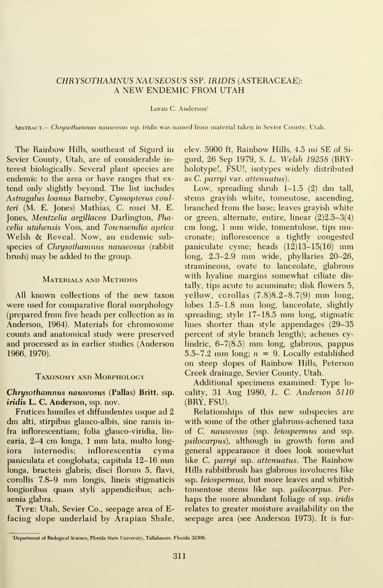#### CHRYSOTHAMNUS NAUSEOSUS SSP. IRIDIS (ASTERACEAE): A NEW ENDEMIC FROM UTAH

#### Loran C. Anderson'

ABSTRACT.— Chrysothamnus nauseosus ssp. iridis was named from material taken in Sevier County, Utah.

The Rainbow Hills, southeast of Sigurd in Sevier County, Utah, are of considerable in terest biologically. Several plant species are endemic to the area or have ranges that ex tend only slightly beyond. The list includes Astragalus loanus Barneby, Cymopterus coulteri (M. E. Jones) Mathias, C. rosei M. E. Jones, Mentzelia argillacea Darlington, Phacelia utahensis Voss, and Townsendia aprica Welsh & Reveal. Now, an endemic subspecies of Chrysothamnus nauseosus (rabbit brush) may be added to the group.

#### Materials and Methods

All known collections of the new taxon were used for comparative floral morphology (prepared from five heads per collection as in Anderson, 1964). Materials for chromosome counts and anatomical study were preserved and processed as in earlier studies (Anderson 1966, 1970).

#### Taxonomy and Morphology

Chrysothamnus nauseosus (Pallas) Britt. ssp. iridis L. C. Anderson, ssp. nov.

Frutices humiles et diffundentes usque ad 2 dm alti, stirpibus glauco-albis, sine ramis in fra inflorescentiam; folia glauco-viridia, lin earia, 2-4 cm longa, <sup>1</sup> mm lata, multo longiora internodis; inflorescentia cyma paniculata et conglobata; capitula 12-16 mm longa, bracteis glabris; disci florum 5, flavi, corollis 7.8-9 mm longis, lineis stigmaticis longioribus quam styli appendicibus; achaenia glabra.

Type: Utah, Sevier Co., seepage area of Efacing slope underlaid by Arapian Shale, elev. 5900 ft. Rainbow Hills, 4.5 mi SE of Si gurd, 26 Sep 1979, S. L. Welsh 19258 (BRYholotype!, FSU!, isotypes widely distributed as C. parryi var. attenuatus).

Low, spreading shrub 1-1.5 (2) dm tall, stems grayish white, tomentose, ascending, branched from the base; leaves grayish white or green, alternate, entire, linear (2)2.5-3(4) cm long, <sup>1</sup> mm wide, tomentulose, tips mucronate; inflorescence a tightly congested paniculate cyme; heads  $(12)13-15(16)$  mm long, 2.3-2.9 mm wide, phyllaries 20-26, stramineous, ovate to lanceolate, glabrous with hyaline margins somewhat ciliate distally, tips acute to acuminate; disk flowers 5, yellow, corollas (7.8)8.2-8.7(9) mm long, lobes 1.5-1.8 mm long, lanceolate, slightly spreading; style 17-18.5 mm long, stigmatic lines shorter than style appendages (29-35 percent of style branch length); achenes cylindric, 6-7(8.5) mm long, glabrous, pappus 5.5-7.2 mm long;  $n = 9$ . Locally established on steep slopes of Rainbow Hills, Peterson Creek drainage, Sevier County, Utah.

Additional specimens examined: Type lo cality, 31 Aug 1980, L. C. Anderson 5110 (BRY, FSU).

Relationships of this new subspecies are with some of the other glabrous-achened taxa of C. nauseosus (ssp. leiospermus and ssp. psilocarpus), although in growth form and general appearance it does look somewhat like C. parryi ssp. attenuatus. The Rainbow Hills rabbitbrush has glabrous involucres like ssp. leiospermus, but more leaves and whitish tomentose stems like ssp. psilocarpus. Per haps the more abundant foliage of ssp. *iridis* relates to greater moisture availability on the seepage area (see Anderson 1973). It is fur-

<sup>&#</sup>x27;Department of Biological Science, Florida State University, Tallahassee, Florida 32306.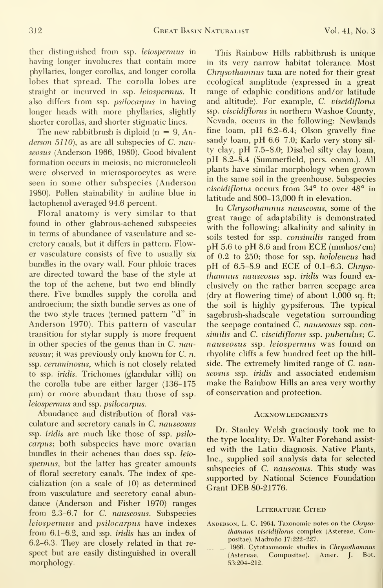ther distinguished from ssp. *leiospermus* in having longer involucres that contain more phyllaries, longer corollas, and longer corolla lobes that spread. The corolla lobes are straight or incurved in ssp. leiospermus. It also differs from ssp. psilocarpus in having longer heads with more phyllaries, slightly shorter corollas, and shorter stigmatic lines.

The new rabbitbrush is diploid ( $n = 9$ , Anderson  $5110$ ), as are all subspecies of C. nauseosus (Anderson 1966, 1980). Good bivalent fonnation occurs in meiosis; no micronucleoli were observed in microsporocytes as were seen in some other subspecies (Anderson 1980). Pollen stainability in aniline blue in lactophenol averaged 94.6 percent.

Floral anatomy is very similar to that found in other glabrous-achened subspecies in terms of abundance of vasculature and se cretory canals, but it differs in pattern. Flower vasculature consists of five to usually six bundles in the ovary wall. Four phloic traces are directed toward the base of the style at the top of the achene, but two end blindly there. Five bundles supply the corolla and androecium; the sixth bundle serves as one of the two style traces (termed pattern "d" in Anderson 1970). This pattern of vascular transition for stylar supply is more frequent in other species of the genus than in  $C$ . *nau*seosus; it was previously only known for C. n. ssp. ceruminosus, which is not closely related to ssp. iridis. Trichomes (glandular villi) on the corolla tube are either larger (136-175  $\mu$ m) or more abundant than those of ssp. leiospernus and ssp. psilocarpus.

Abundance and distribution of floral vas culature and secretory canals in C. nauseosus ssp. iridis are much like those of ssp. psilocarpus; both subspecies have more ovarian bundles in their achenes than does ssp. leio spermus, but the latter has greater amounts of floral secretory canals. The index of specialization (on a scale of 10) as determined from vasculature and secretory canal abundance (Anderson and Fisher 1970) ranges from 2.3-6.7 for C. nauseosus. Subspecies leiospermus and psilocarpus have indexes from 6.1-6.2, and ssp. iridis has an index of 6.2-6.3. They are closely related in that re spect but are easily distinguished in overall morphology.

This Rainbow Hills rabbitbrush is unique in its very narrow habitat tolerance. Most Chrysothamnus taxa are noted for their great ecological amplitude (expressed in a great range of edaphic conditions and/or latitude and altitude). For example, C. viscidiflorus ssp. viscidiflorus in northern Washoe County, Nevada, occurs in the following: Newlands fine loam, pH 6.2-6.4; Olson gravelly fine sandy loam, pH 6.6-7.0; Karlo very stony sil ty clay, pH 7.5-8.0; Disabel silty clay loam, pH 8.2-8.4 (Summerfield, pers. comm.). All plants have similar morphology when grown in the same soil in the greenhouse. Subspecies viscidiflorus occurs from 34° to over 48° in latitude and 800-13,000 ft in elevation.

In Chrysothamnus nauseosus, some of the great range of adaptability is demonstrated with the following: alkalinity and salinity in soils tested for ssp. consimilis ranged from pH 5.6 to pH 8.6 and from ECE (mmhos/cm) of 0.2 to 250; those for ssp. hololeucus had pH of 6.5-8.9 and ECE of 0.1-6.3. Chrysothamnus nauseosus ssp. iridis was found ex clusively on the rather barren seepage area (dry at flowering time) of about 1,000 sq. ft; the soil is highly gypsiferous. The typical sagebrush-shadscale vegetation surrounding the seepage contained C. nauseosus ssp. consimilis and C. viscidiflorus ssp. puberulus; C. nauseosus ssp. leiospermus was found on rhyolite cliffs a few hundred feet up the hill side. The extremely limited range of C. nauseosus ssp. iridis and associated endemism make the Rainbow Hills an area very worthy of conservation and protection.

#### **ACKNOWLEDGMENTS**

Dr. Stanley Welsh graciously took me to the type locality; Dr. Walter Forehand assist ed with the Latin diagnosis. Native Plants, Inc., supplied soil analysis data for selected subspecies of C. nauseosus. This study was supported by National Science Foundation Grant DEB 80-21776.

#### LITERATURE CITED

- ANDERSON, L. C. 1964. Taxonomic notes on the Chrysothamnus viscidiflorus complex (Astereae, Compositae). Madrono 17:222-227.
	- 1966. Cytotaxonomic studies in Chrysothamnus (Astereae, Compositae). Amer. J. Bot. 53:204-212.